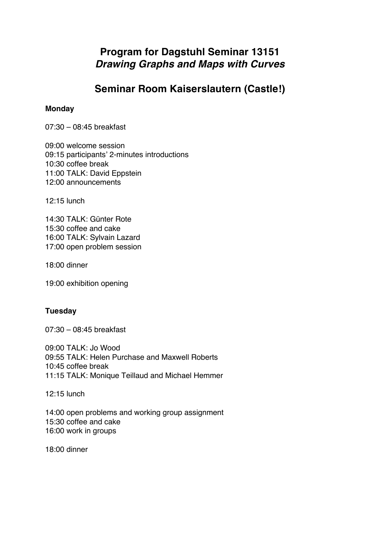# **Program for Dagstuhl Seminar 13151** *Drawing Graphs and Maps with Curves*

## **Seminar Room Kaiserslautern (Castle!)**

## **Monday**

07:30 – 08:45 breakfast

09:00 welcome session 09:15 participants' 2-minutes introductions 10:30 coffee break 11:00 TALK: David Eppstein 12:00 announcements

12:15 lunch

14:30 TALK: Günter Rote 15:30 coffee and cake 16:00 TALK: Sylvain Lazard 17:00 open problem session

18:00 dinner

19:00 exhibition opening

## **Tuesday**

07:30 – 08:45 breakfast

09:00 TALK: Jo Wood 09:55 TALK: Helen Purchase and Maxwell Roberts 10:45 coffee break 11:15 TALK: Monique Teillaud and Michael Hemmer

12:15 lunch

14:00 open problems and working group assignment 15:30 coffee and cake 16:00 work in groups

18:00 dinner